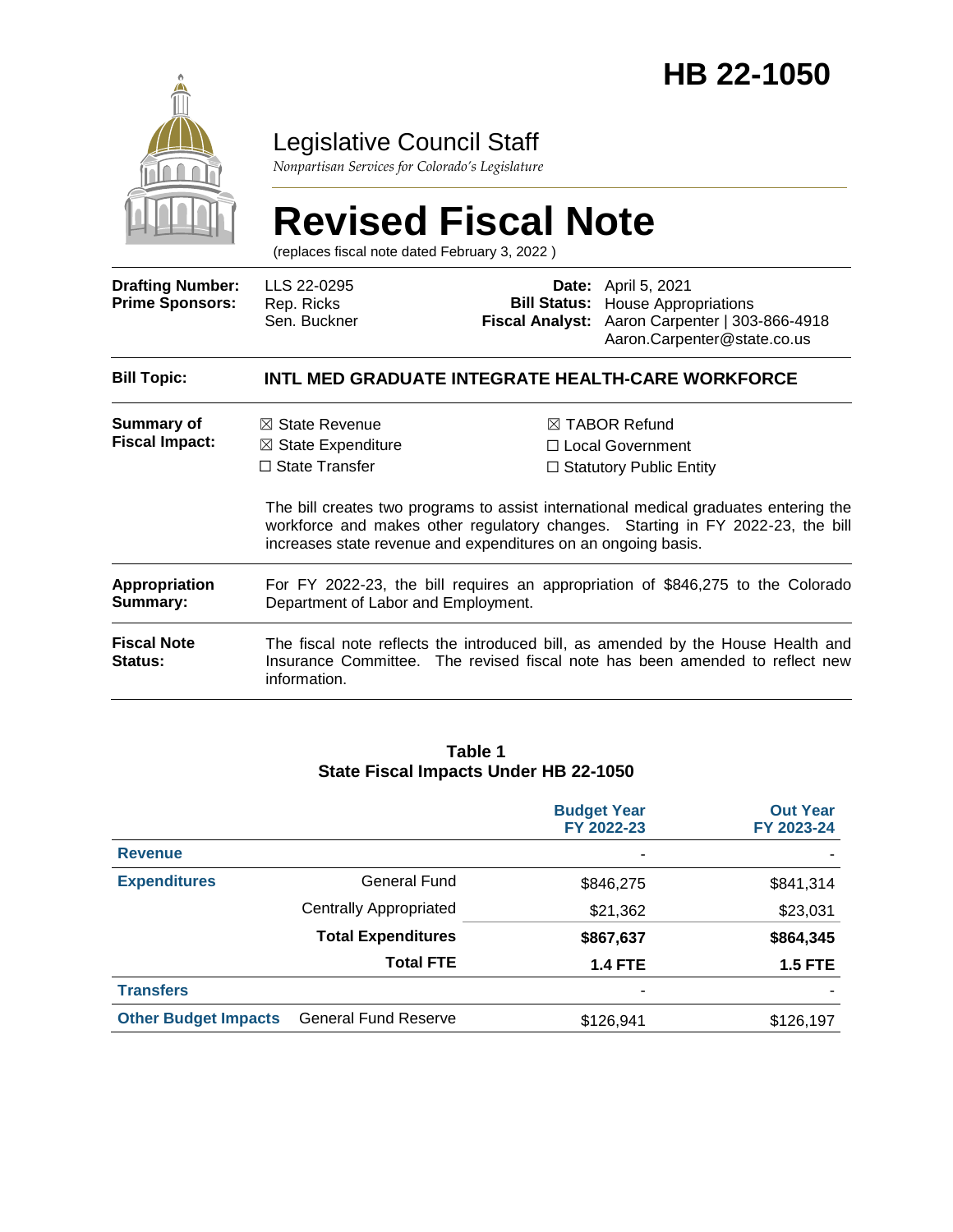

### Legislative Council Staff

*Nonpartisan Services for Colorado's Legislature*

# **Revised Fiscal Note**

(replaces fiscal note dated February 3, 2022 )

| <b>Drafting Number:</b><br><b>Prime Sponsors:</b> | LLS 22-0295<br>Rep. Ricks<br>Sen. Buckner                                                                                                                                        |  | <b>Date:</b> April 5, 2021<br><b>Bill Status:</b> House Appropriations<br>Fiscal Analyst: Aaron Carpenter   303-866-4918<br>Aaron.Carpenter@state.co.us                                                                                                    |  |  |
|---------------------------------------------------|----------------------------------------------------------------------------------------------------------------------------------------------------------------------------------|--|------------------------------------------------------------------------------------------------------------------------------------------------------------------------------------------------------------------------------------------------------------|--|--|
| <b>Bill Topic:</b>                                |                                                                                                                                                                                  |  | INTL MED GRADUATE INTEGRATE HEALTH-CARE WORKFORCE                                                                                                                                                                                                          |  |  |
| Summary of<br><b>Fiscal Impact:</b>               | $\boxtimes$ State Revenue<br>$\boxtimes$ State Expenditure<br>$\Box$ State Transfer<br>increases state revenue and expenditures on an ongoing basis.                             |  | $\boxtimes$ TABOR Refund<br>□ Local Government<br>$\Box$ Statutory Public Entity<br>The bill creates two programs to assist international medical graduates entering the<br>workforce and makes other regulatory changes. Starting in FY 2022-23, the bill |  |  |
| <b>Appropriation</b><br>Summary:                  | For FY 2022-23, the bill requires an appropriation of \$846,275 to the Colorado<br>Department of Labor and Employment.                                                           |  |                                                                                                                                                                                                                                                            |  |  |
| <b>Fiscal Note</b><br><b>Status:</b>              | The fiscal note reflects the introduced bill, as amended by the House Health and<br>Insurance Committee. The revised fiscal note has been amended to reflect new<br>information. |  |                                                                                                                                                                                                                                                            |  |  |

#### **Table 1 State Fiscal Impacts Under HB 22-1050**

|                             |                             | <b>Budget Year</b><br>FY 2022-23 | <b>Out Year</b><br>FY 2023-24 |
|-----------------------------|-----------------------------|----------------------------------|-------------------------------|
| <b>Revenue</b>              |                             | ۰                                |                               |
| <b>Expenditures</b>         | General Fund                | \$846,275                        | \$841,314                     |
|                             | Centrally Appropriated      | \$21,362                         | \$23,031                      |
|                             | <b>Total Expenditures</b>   | \$867,637                        | \$864,345                     |
|                             | <b>Total FTE</b>            | <b>1.4 FTE</b>                   | <b>1.5 FTE</b>                |
| <b>Transfers</b>            |                             | ۰                                |                               |
| <b>Other Budget Impacts</b> | <b>General Fund Reserve</b> | \$126,941                        | \$126,197                     |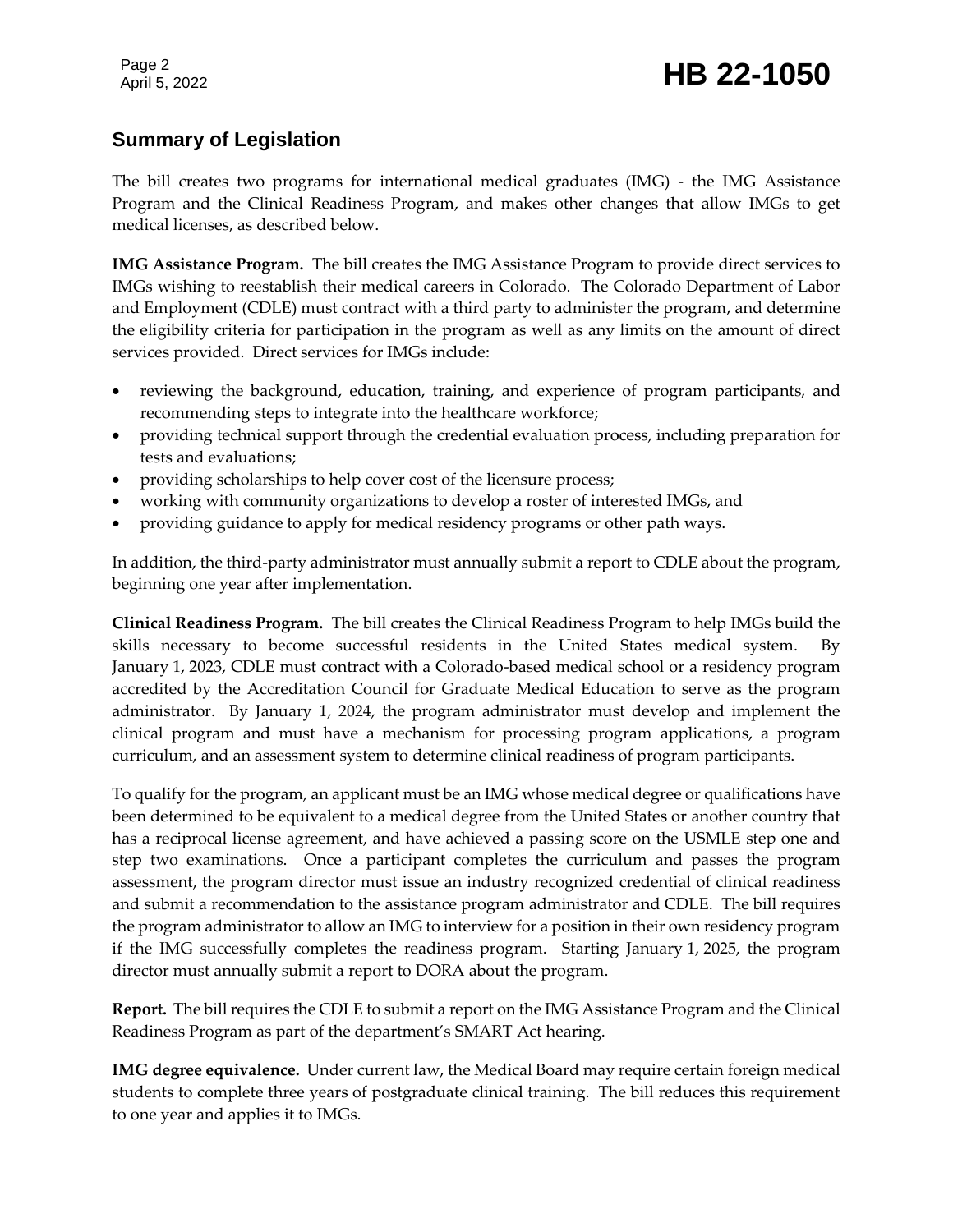## Page 2<br>April 5, 2022 **HB 22-1050**

#### **Summary of Legislation**

The bill creates two programs for international medical graduates (IMG) - the IMG Assistance Program and the Clinical Readiness Program, and makes other changes that allow IMGs to get medical licenses, as described below.

**IMG Assistance Program.** The bill creates the IMG Assistance Program to provide direct services to IMGs wishing to reestablish their medical careers in Colorado. The Colorado Department of Labor and Employment (CDLE) must contract with a third party to administer the program, and determine the eligibility criteria for participation in the program as well as any limits on the amount of direct services provided. Direct services for IMGs include:

- reviewing the background, education, training, and experience of program participants, and recommending steps to integrate into the healthcare workforce;
- providing technical support through the credential evaluation process, including preparation for tests and evaluations;
- providing scholarships to help cover cost of the licensure process;
- working with community organizations to develop a roster of interested IMGs, and
- providing guidance to apply for medical residency programs or other path ways.

In addition, the third-party administrator must annually submit a report to CDLE about the program, beginning one year after implementation.

**Clinical Readiness Program.** The bill creates the Clinical Readiness Program to help IMGs build the skills necessary to become successful residents in the United States medical system. By January 1, 2023, CDLE must contract with a Colorado-based medical school or a residency program accredited by the Accreditation Council for Graduate Medical Education to serve as the program administrator. By January 1, 2024, the program administrator must develop and implement the clinical program and must have a mechanism for processing program applications, a program curriculum, and an assessment system to determine clinical readiness of program participants.

To qualify for the program, an applicant must be an IMG whose medical degree or qualifications have been determined to be equivalent to a medical degree from the United States or another country that has a reciprocal license agreement, and have achieved a passing score on the USMLE step one and step two examinations. Once a participant completes the curriculum and passes the program assessment, the program director must issue an industry recognized credential of clinical readiness and submit a recommendation to the assistance program administrator and CDLE. The bill requires the program administrator to allow an IMG to interview for a position in their own residency program if the IMG successfully completes the readiness program. Starting January 1, 2025, the program director must annually submit a report to DORA about the program.

**Report.** The bill requires the CDLE to submit a report on the IMG Assistance Program and the Clinical Readiness Program as part of the department's SMART Act hearing.

**IMG degree equivalence.** Under current law, the Medical Board may require certain foreign medical students to complete three years of postgraduate clinical training. The bill reduces this requirement to one year and applies it to IMGs.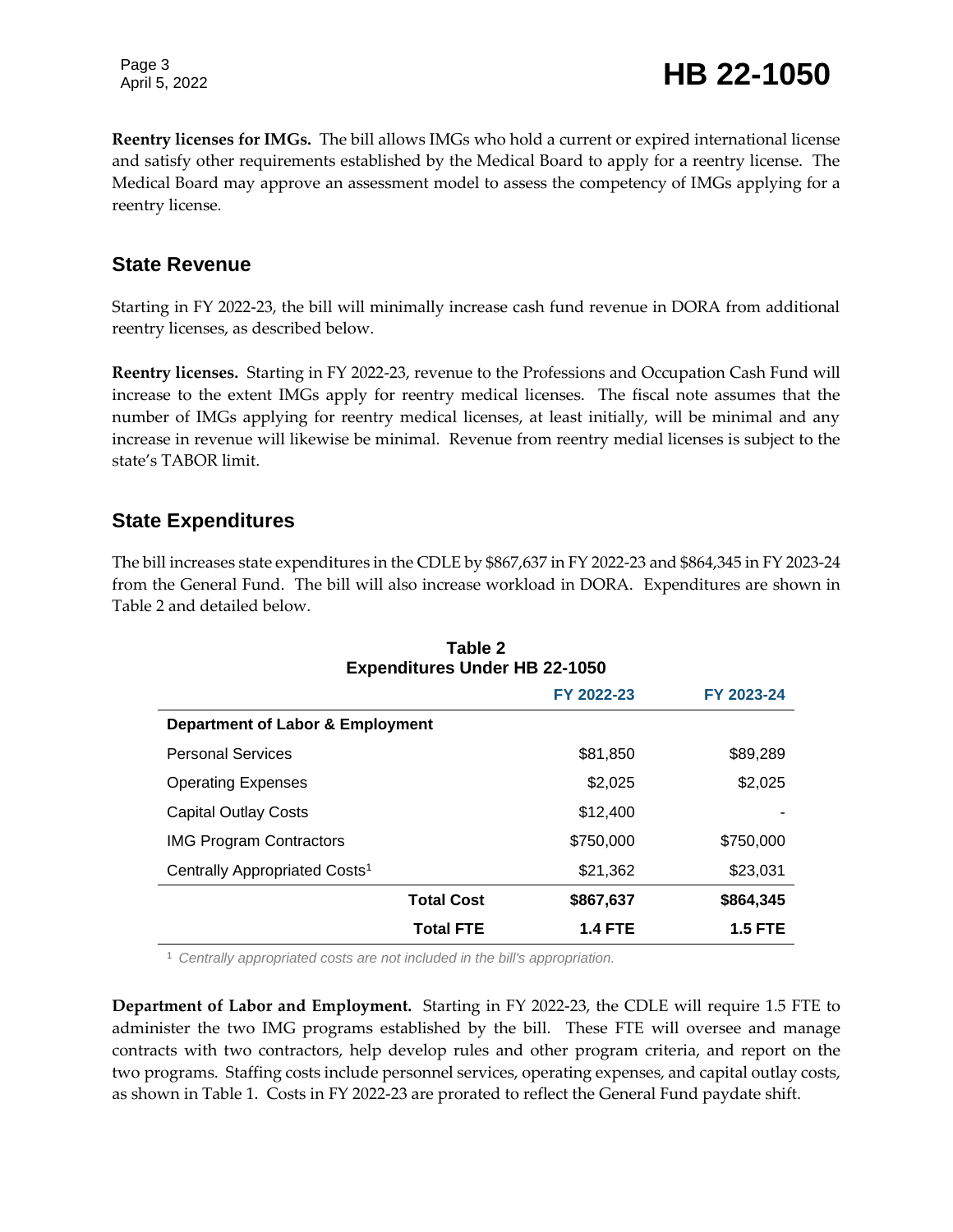Page 3

**Reentry licenses for IMGs.** The bill allows IMGs who hold a current or expired international license and satisfy other requirements established by the Medical Board to apply for a reentry license. The Medical Board may approve an assessment model to assess the competency of IMGs applying for a reentry license.

#### **State Revenue**

Starting in FY 2022-23, the bill will minimally increase cash fund revenue in DORA from additional reentry licenses, as described below.

**Reentry licenses.** Starting in FY 2022-23, revenue to the Professions and Occupation Cash Fund will increase to the extent IMGs apply for reentry medical licenses. The fiscal note assumes that the number of IMGs applying for reentry medical licenses, at least initially, will be minimal and any increase in revenue will likewise be minimal. Revenue from reentry medial licenses is subject to the state's TABOR limit.

#### **State Expenditures**

The bill increases state expenditures in the CDLE by \$867,637 in FY 2022-23 and \$864,345 in FY 2023-24 from the General Fund. The bill will also increase workload in DORA. Expenditures are shown in Table 2 and detailed below.

**Table 2**

| Tault L<br><b>Expenditures Under HB 22-1050</b> |                   |                |                |  |  |
|-------------------------------------------------|-------------------|----------------|----------------|--|--|
|                                                 |                   | FY 2022-23     | FY 2023-24     |  |  |
| <b>Department of Labor &amp; Employment</b>     |                   |                |                |  |  |
| <b>Personal Services</b>                        |                   | \$81,850       | \$89,289       |  |  |
| <b>Operating Expenses</b>                       |                   | \$2,025        | \$2,025        |  |  |
| <b>Capital Outlay Costs</b>                     |                   | \$12,400       |                |  |  |
| <b>IMG Program Contractors</b>                  |                   | \$750,000      | \$750,000      |  |  |
| Centrally Appropriated Costs <sup>1</sup>       |                   | \$21,362       | \$23,031       |  |  |
|                                                 | <b>Total Cost</b> | \$867,637      | \$864,345      |  |  |
|                                                 | <b>Total FTE</b>  | <b>1.4 FTE</b> | <b>1.5 FTE</b> |  |  |

<sup>1</sup> *Centrally appropriated costs are not included in the bill's appropriation.*

**Department of Labor and Employment.** Starting in FY 2022-23, the CDLE will require 1.5 FTE to administer the two IMG programs established by the bill. These FTE will oversee and manage contracts with two contractors, help develop rules and other program criteria, and report on the two programs. Staffing costs include personnel services, operating expenses, and capital outlay costs, as shown in Table 1. Costs in FY 2022-23 are prorated to reflect the General Fund paydate shift.